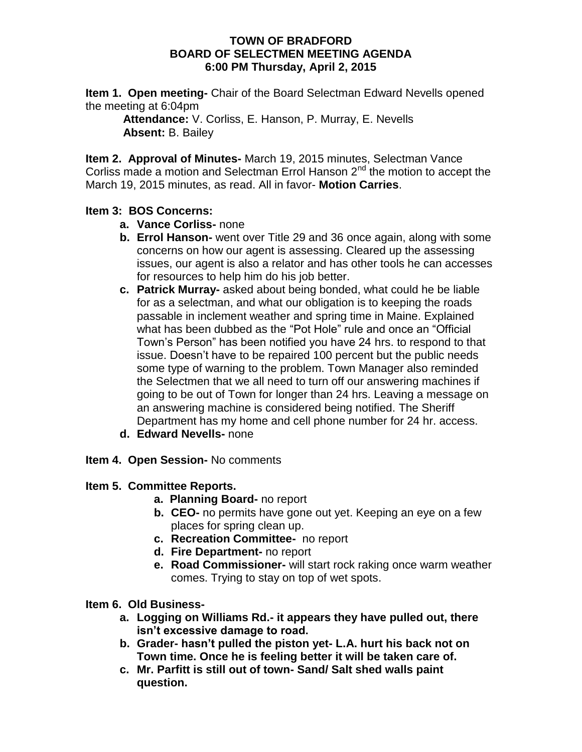#### **TOWN OF BRADFORD BOARD OF SELECTMEN MEETING AGENDA 6:00 PM Thursday, April 2, 2015**

**Item 1. Open meeting-** Chair of the Board Selectman Edward Nevells opened the meeting at 6:04pm

**Attendance:** V. Corliss, E. Hanson, P. Murray, E. Nevells **Absent:** B. Bailey

**Item 2. Approval of Minutes-** March 19, 2015 minutes, Selectman Vance Corliss made a motion and Selectman Errol Hanson  $2^{nd}$  the motion to accept the March 19, 2015 minutes, as read. All in favor- **Motion Carries**.

# **Item 3: BOS Concerns:**

- **a. Vance Corliss-** none
- **b. Errol Hanson-** went over Title 29 and 36 once again, along with some concerns on how our agent is assessing. Cleared up the assessing issues, our agent is also a relator and has other tools he can accesses for resources to help him do his job better.
- **c. Patrick Murray-** asked about being bonded, what could he be liable for as a selectman, and what our obligation is to keeping the roads passable in inclement weather and spring time in Maine. Explained what has been dubbed as the "Pot Hole" rule and once an "Official Town's Person" has been notified you have 24 hrs. to respond to that issue. Doesn't have to be repaired 100 percent but the public needs some type of warning to the problem. Town Manager also reminded the Selectmen that we all need to turn off our answering machines if going to be out of Town for longer than 24 hrs. Leaving a message on an answering machine is considered being notified. The Sheriff Department has my home and cell phone number for 24 hr. access.
- **d. Edward Nevells-** none
- **Item 4. Open Session-** No comments

# **Item 5. Committee Reports.**

- **a. Planning Board-** no report
- **b. CEO-** no permits have gone out yet. Keeping an eye on a few places for spring clean up.
- **c. Recreation Committee-** no report
- **d. Fire Department-** no report
- **e. Road Commissioner-** will start rock raking once warm weather comes. Trying to stay on top of wet spots.

### **Item 6. Old Business-**

- **a. Logging on Williams Rd.- it appears they have pulled out, there isn't excessive damage to road.**
- **b. Grader- hasn't pulled the piston yet- L.A. hurt his back not on Town time. Once he is feeling better it will be taken care of.**
- **c. Mr. Parfitt is still out of town- Sand/ Salt shed walls paint question.**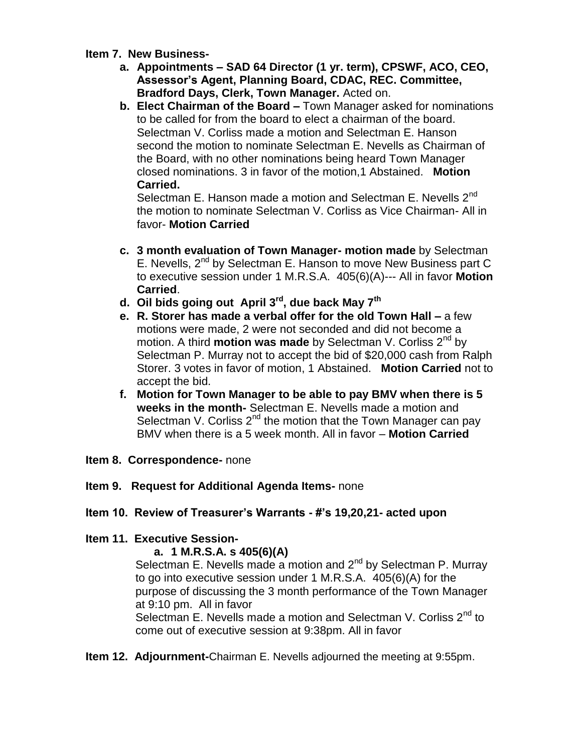### **Item 7. New Business-**

- **a. Appointments – SAD 64 Director (1 yr. term), CPSWF, ACO, CEO, Assessor's Agent, Planning Board, CDAC, REC. Committee, Bradford Days, Clerk, Town Manager.** Acted on.
- **b. Elect Chairman of the Board –** Town Manager asked for nominations to be called for from the board to elect a chairman of the board. Selectman V. Corliss made a motion and Selectman E. Hanson second the motion to nominate Selectman E. Nevells as Chairman of the Board, with no other nominations being heard Town Manager closed nominations. 3 in favor of the motion,1 Abstained. **Motion Carried.**

Selectman E. Hanson made a motion and Selectman E. Nevells 2<sup>nd</sup> the motion to nominate Selectman V. Corliss as Vice Chairman- All in favor- **Motion Carried**

- **c. 3 month evaluation of Town Manager- motion made** by Selectman E. Nevells, 2<sup>nd</sup> by Selectman E. Hanson to move New Business part C to executive session under 1 M.R.S.A. 405(6)(A)--- All in favor **Motion Carried**.
- **d. Oil bids going out April 3rd , due back May 7th**
- **e. R. Storer has made a verbal offer for the old Town Hall –** a few motions were made, 2 were not seconded and did not become a motion. A third **motion was made** by Selectman V. Corliss 2nd by Selectman P. Murray not to accept the bid of \$20,000 cash from Ralph Storer. 3 votes in favor of motion, 1 Abstained. **Motion Carried** not to accept the bid.
- **f. Motion for Town Manager to be able to pay BMV when there is 5 weeks in the month-** Selectman E. Nevells made a motion and Selectman V. Corliss  $2^{nd}$  the motion that the Town Manager can pay BMV when there is a 5 week month. All in favor – **Motion Carried**
- **Item 8. Correspondence-** none
- **Item 9. Request for Additional Agenda Items-** none

# **Item 10. Review of Treasurer's Warrants - #'s 19,20,21- acted upon**

# **Item 11. Executive Session-**

# **a. 1 M.R.S.A. s 405(6)(A)**

Selectman E. Nevells made a motion and  $2^{nd}$  by Selectman P. Murray to go into executive session under 1 M.R.S.A. 405(6)(A) for the purpose of discussing the 3 month performance of the Town Manager at 9:10 pm. All in favor

Selectman E. Nevells made a motion and Selectman V. Corliss  $2^{nd}$  to come out of executive session at 9:38pm. All in favor

**Item 12. Adjournment-**Chairman E. Nevells adjourned the meeting at 9:55pm.